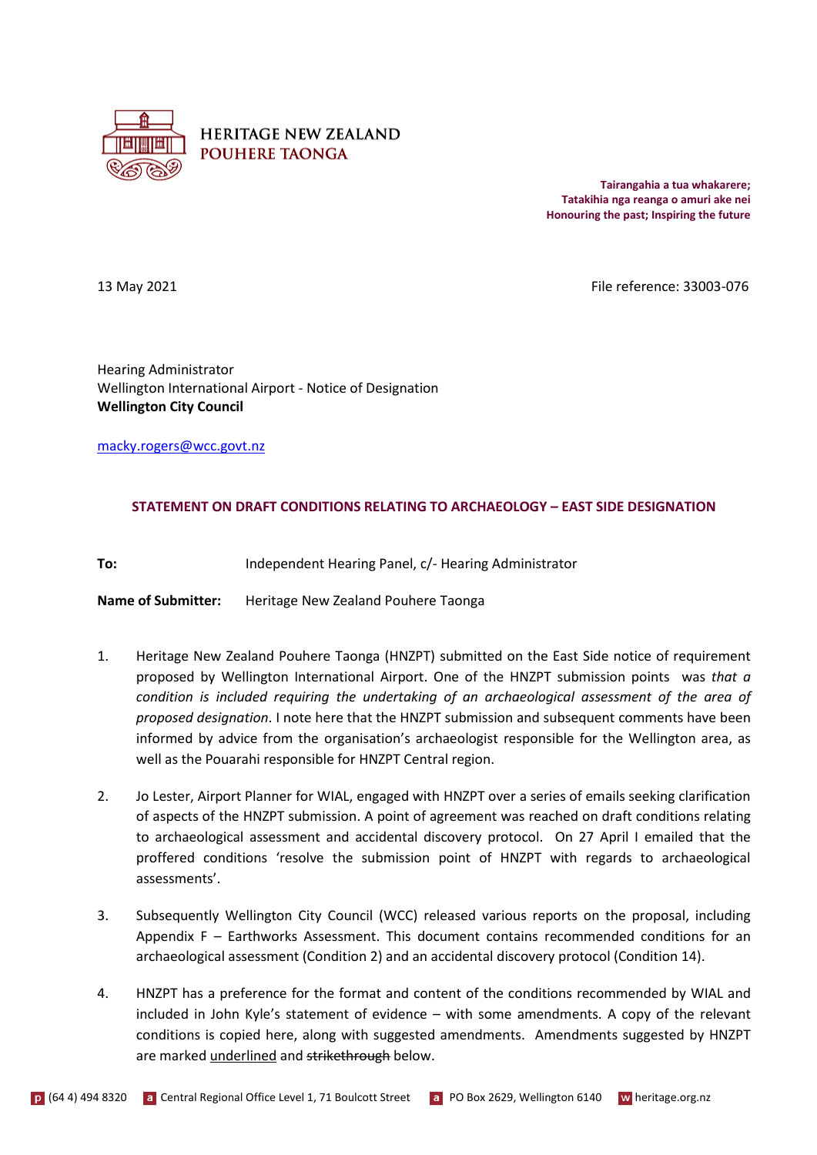

**HERITAGE NEW ZEALAND POUHERE TAONGA** 

> **Tairangahia a tua whakarere; Tatakihia nga reanga o amuri ake nei Honouring the past; Inspiring the future**

13 May 2021 **File reference: 33003-076** 

Hearing Administrator Wellington International Airport - Notice of Designation **Wellington City Council**

[macky.rogers@wcc.govt.nz](mailto:macky.rogers@wcc.govt.nz)

## **STATEMENT ON DRAFT CONDITIONS RELATING TO ARCHAEOLOGY – EAST SIDE DESIGNATION**

**To:** Independent Hearing Panel, c/- Hearing Administrator

**Name of Submitter:** Heritage New Zealand Pouhere Taonga

- 1. Heritage New Zealand Pouhere Taonga (HNZPT) submitted on the East Side notice of requirement proposed by Wellington International Airport. One of the HNZPT submission points was *that a condition is included requiring the undertaking of an archaeological assessment of the area of proposed designation*. I note here that the HNZPT submission and subsequent comments have been informed by advice from the organisation's archaeologist responsible for the Wellington area, as well as the Pouarahi responsible for HNZPT Central region.
- 2. Jo Lester, Airport Planner for WIAL, engaged with HNZPT over a series of emails seeking clarification of aspects of the HNZPT submission. A point of agreement was reached on draft conditions relating to archaeological assessment and accidental discovery protocol. On 27 April I emailed that the proffered conditions 'resolve the submission point of HNZPT with regards to archaeological assessments'.
- 3. Subsequently Wellington City Council (WCC) released various reports on the proposal, including Appendix F – Earthworks Assessment. This document contains recommended conditions for an archaeological assessment (Condition 2) and an accidental discovery protocol (Condition 14).
- 4. HNZPT has a preference for the format and content of the conditions recommended by WIAL and included in John Kyle's statement of evidence – with some amendments. A copy of the relevant conditions is copied here, along with suggested amendments. Amendments suggested by HNZPT are marked underlined and strikethrough below.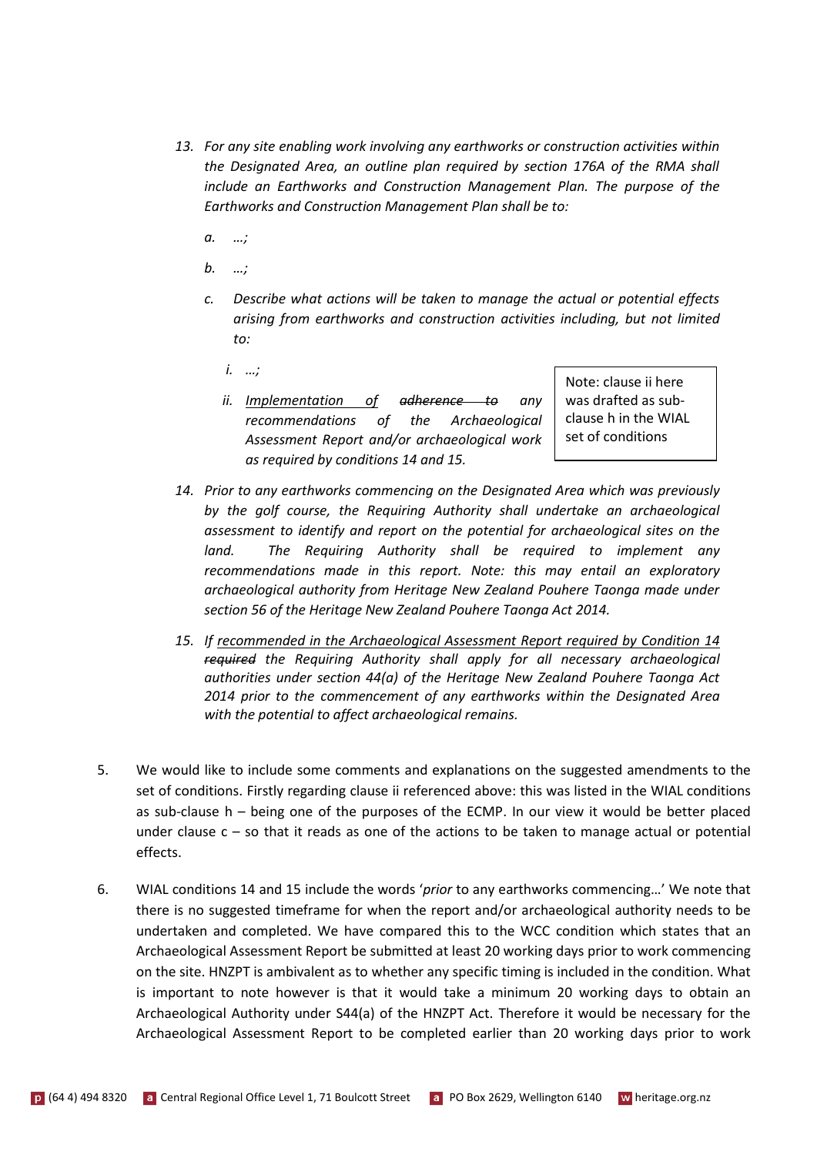- *13. For any site enabling work involving any earthworks or construction activities within the Designated Area, an outline plan required by section 176A of the RMA shall include an Earthworks and Construction Management Plan. The purpose of the Earthworks and Construction Management Plan shall be to:*
	- *a. …;*
	- *b. …;*
	- *c. Describe what actions will be taken to manage the actual or potential effects arising from earthworks and construction activities including, but not limited to:*
		- *i. …;*
		- *ii. Implementation of adherence to any recommendations of the Archaeological Assessment Report and/or archaeological work as required by conditions 14 and 15.*

Note: clause ii here was drafted as subclause h in the WIAL set of conditions

- *14. Prior to any earthworks commencing on the Designated Area which was previously by the golf course, the Requiring Authority shall undertake an archaeological assessment to identify and report on the potential for archaeological sites on the land. The Requiring Authority shall be required to implement any recommendations made in this report. Note: this may entail an exploratory archaeological authority from Heritage New Zealand Pouhere Taonga made under section 56 of the Heritage New Zealand Pouhere Taonga Act 2014.*
- *15. If recommended in the Archaeological Assessment Report required by Condition 14 required the Requiring Authority shall apply for all necessary archaeological authorities under section 44(a) of the Heritage New Zealand Pouhere Taonga Act 2014 prior to the commencement of any earthworks within the Designated Area with the potential to affect archaeological remains.*
- 5. We would like to include some comments and explanations on the suggested amendments to the set of conditions. Firstly regarding clause ii referenced above: this was listed in the WIAL conditions as sub-clause h – being one of the purposes of the ECMP. In our view it would be better placed under clause  $c - so$  that it reads as one of the actions to be taken to manage actual or potential effects.
- 6. WIAL conditions 14 and 15 include the words '*prior* to any earthworks commencing…' We note that there is no suggested timeframe for when the report and/or archaeological authority needs to be undertaken and completed. We have compared this to the WCC condition which states that an Archaeological Assessment Report be submitted at least 20 working days prior to work commencing on the site. HNZPT is ambivalent as to whether any specific timing is included in the condition. What is important to note however is that it would take a minimum 20 working days to obtain an Archaeological Authority under S44(a) of the HNZPT Act. Therefore it would be necessary for the Archaeological Assessment Report to be completed earlier than 20 working days prior to work